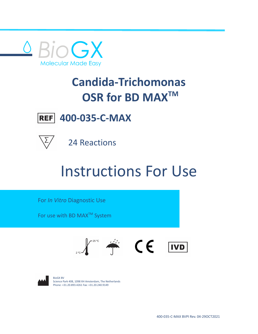

## **Candida-Trichomonas OSR for BD MAXTM**



**400-035-C-MAX**



24 Reactions

# Instructions For Use

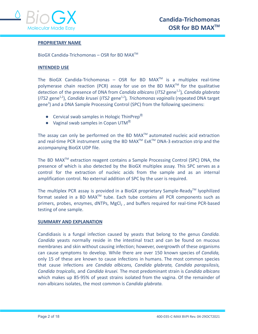

## **PROPRIETARY NAME**

BioGX Candida-Trichomonas – OSR for BD MAX<sup>™</sup>

## **INTENDED USE**

The BioGX Candida-Trichomonas - OSR for BD  $MAX^{TM}$  is a multiplex real-time polymerase chain reaction (PCR) assay for use on the BD MAX<sup>™</sup> for the qualitative detection of the presence of DNA from *Candida albicans* (ITS2 gene<sup>1,2</sup>), *Candida glabrata* (*ITS2* gene1,2 ), *Candida krusei* (*ITS2* gene1,2 )*, Trichomonas vaginalis* (repeated DNA target gene<sup>3</sup>) and a DNA Sample Processing Control (SPC) from the following specimens:

- Cervical swab samples in Hologic ThinPrep<sup>®</sup>
- Vaginal swab samples in Copan UTM<sup>®</sup>

The assay can only be performed on the BD  $MAX^{TM}$  automated nucleic acid extraction and real-time PCR instrument using the BD MAX<sup>™</sup> ExK<sup>™</sup> DNA-3 extraction strip and the accompanying BioGX UDP file.

The BD MAX<sup>™</sup> extraction reagent contains a Sample Processing Control (SPC) DNA, the presence of which is also detected by the BioGX multiplex assay. This SPC serves as a control for the extraction of nucleic acids from the sample and as an internal amplification control. No external addition of SPC by the user is required.

The multiplex PCR assay is provided in a BioGX proprietary Sample-Ready<sup>™</sup> lyophilized format sealed in a BD MAX<sup>™</sup> tube. Each tube contains all PCR components such as primers, probes, enzymes, dNTPs, MgCl<sub>2</sub>, and buffers required for real-time PCR-based testing of one sample.

## **SUMMARY AND EXPLANATION**

Candidiasis is a fungal infection caused by yeasts that belong to the genus *Candida. Candida* yeasts normally reside in the intestinal tract and can be found on mucous membranes and skin without causing infection; however, overgrowth of these organisms can cause symptoms to develop. While there are over 150 known species of *Candida,* only 15 of these are known to cause infections in humans. The most common species that cause infections are *Candida albicans, Candida glabrata, Candida parapsilosis, Candida tropicalis,* and *Candida krusei.* The most predominant strain is *Candida albicans* which makes up 85-95% of yeast strains isolated from the vagina. Of the remainder of non-albicans isolates, the most common is *Candida glabrata.*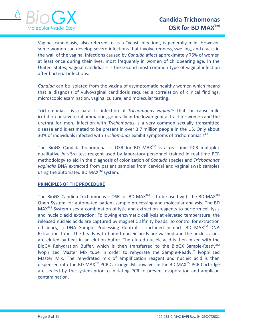

Vaginal candidiasis, also referred to as a "yeast infection", is generally mild. However, some women can develop severe infections that involve redness, swelling, and cracks in the wall of the vagina. Infections caused by *Candida* affect approximately 75% of women at least once during their lives, most frequently in women of childbearing age. In the United States, vaginal candidiasis is the second most common type of vaginal infection after bacterial infections.

*Candida* can be isolated from the vagina of asymptomatic healthy women which means that a diagnosis of vulvovaginal candidosis requires a correlation of clinical findings, microscopic examination, vaginal culture, and molecular testing.

Trichomoniasis is a parasitic infection of *Trichomonas vaginalis* that can cause mild irritation or severe inflammation, generally in the lower genital tract for women and the urethra for men. Infection with *Trichomonas* is a very common sexually transmitted disease and is estimated to be present in over 3.7 million people in the US. Only about 30% of individuals infected with *Trichomonas* exhibit symptoms of trichomoniasis<sup>4-6</sup>.

The BioGX Candida-Trichomonas – OSR for BD MAX $^{TM}$  is a real-time PCR multiplex qualitative *in vitro* test reagent used by laboratory personnel trained in real-time PCR methodology to aid in the diagnosis of colonization of *Candida* species and *Trichomonas vaginalis* DNA extracted from patient samples from cervical and vaginal swab samples using the automated BD MAX**TM** system.

## **PRINCIPLES OF THE PROCEDURE**

The BioGX Candida-Trichomonas – OSR for BD MAX<sup>TM</sup> is to be used with the BD MAX<sup>TM</sup> Open System for automated patient sample processing and molecular analysis. The BD MAX<sup>™</sup> System uses a combination of lytic and extraction reagents to perform cell lysis and nucleic acid extraction. Following enzymatic cell lysis at elevated temperature, the released nucleic acids are captured by magnetic affinity beads. To control for extraction efficiency, a DNA Sample Processing Control is included in each BD MAX<sup>™</sup> DNA Extraction Tube. The beads with bound nucleic acids are washed and the nucleic acids are eluted by heat in an elution buffer. The eluted nucleic acid is then mixed with the BioGX Rehydration Buffer, which is then transferred to the BioGX Sample-Readv<sup>™</sup> lyophilized Master Mix tube in order to rehydrate the Sample-Ready™ lyophilized Master Mix. The rehydrated mix of amplification reagent and nucleic acid is then dispensed into the BD MAX<sup>™</sup> PCR Cartridge. Microvalves in the BD MAX<sup>™</sup> PCR Cartridge are sealed by the system prior to initiating PCR to prevent evaporation and amplicon contamination.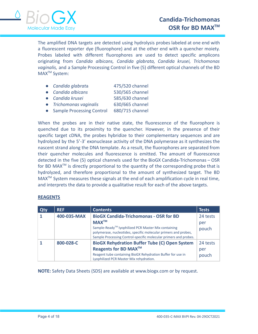

The amplified DNA targets are detected using hydrolysis probes labeled at one end with a fluorescent reporter dye (fluorophore) and at the other end with a quencher moiety. Probes labeled with different fluorophores are used to detect specific amplicons originating from *Candida albicans, Candida glabrata, Candida krusei, Trichomonas vaginalis,* and a Sample Processing Control in five (5) different optical channels of the BD MAX<sup>™</sup> System:

- *Candida glabrat*a 475/520 channel
- *Candida albicans* 530/565 channel
- *Candida krusei* 585/630 channel
- *Trichomonas vaginalis* 630/665 channel
- Sample Processing Control 680/715 channel

When the probes are in their native state, the fluorescence of the fluorophore is quenched due to its proximity to the quencher. However, in the presence of their specific target cDNA, the probes hybridize to their complementary sequences and are hydrolyzed by the 5'-3' exonuclease activity of the DNA polymerase as it synthesizes the nascent strand along the DNA template. As a result, the fluorophores are separated from their quencher molecules and fluorescence is emitted. The amount of fluorescence detected in the five (5) optical channels used for the BioGX Candida-Trichomonas – OSR for BD MAX<sup>™</sup> is directly proportional to the quantity of the corresponding probe that is hydrolyzed, and therefore proportional to the amount of synthesized target. The BD MAX<sup>™</sup> System measures these signals at the end of each amplification cycle in real time, and interprets the data to provide a qualitative result for each of the above targets.

## **REAGENTS**

| Qty | <b>REF</b>  | <b>Contents</b>                                                                                                                                                                                        | <b>Tests</b> |
|-----|-------------|--------------------------------------------------------------------------------------------------------------------------------------------------------------------------------------------------------|--------------|
|     | 400-035-MAX | <b>BioGX Candida-Trichomonas - OSR for BD</b>                                                                                                                                                          | 24 tests     |
|     |             | <b>MAX<sup>TM</sup></b>                                                                                                                                                                                | per          |
|     |             | Sample-Ready <sup>™</sup> lyophilized PCR Master Mix containing<br>polymerase, nucleotides, specific molecular primers and probes,<br>Sample Processing Control-specific molecular primers and probes. | pouch        |
|     | 800-028-C   | <b>BioGX Rehydration Buffer Tube (C) Open System</b>                                                                                                                                                   | 24 tests     |
|     |             | Reagents for BD MAX <sup>™</sup>                                                                                                                                                                       | per          |
|     |             | Reagent tube containing BioGX Rehydration Buffer for use in<br>Lyophilized PCR Master Mix rehydration.                                                                                                 | pouch        |

**NOTE:** Safety Data Sheets (SDS) are available at www.biogx.com or by request.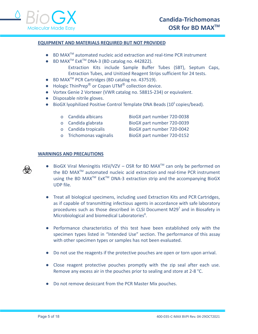## **EQUIPMENT AND MATERIALS REQUIRED BUT NOT PROVIDED**

- BD MAX<sup>™</sup> automated nucleic acid extraction and real-time PCR instrument
- BD MAX<sup>™</sup> ExK<sup>™</sup> DNA-3 (BD catalog no. 442822).
	- Extraction Kits include Sample Buffer Tubes (SBT), Septum Caps, Extraction Tubes, and Unitized Reagent Strips sufficient for 24 tests.
- BD MAX<sup>™</sup> PCR Cartridges (BD catalog no. 437519).
- $\bullet$  Hologic ThinPrep<sup>®</sup> or Copan UTM<sup>®</sup> collection device.
- Vortex Genie 2 Vortexer (VWR catalog no. 58815-234) or equivalent.
- Disposable nitrile gloves.
- $\bullet$  BioGX lyophilized Positive Control Template DNA Beads (10<sup>5</sup> copies/bead).
	- o Candida albicans BioGX part number 720-0038
	-
- o Candida glabrata BioGX part number 720-0039
	- o Candida tropicalis BioGX part number 720-0042
		-
	- o Trichomonas vaginalis BioGX part number 720-0152

## **WARNINGS AND PRECAUTIONS**

- BioGX Viral Meningitis HSV/VZV  $-$  OSR for BD MAX<sup>™</sup> can only be performed on the BD MAX<sup>™</sup> automated nucleic acid extraction and real-time PCR instrument using the BD MAX<sup>™</sup> ExK<sup>™</sup> DNA-3 extraction strip and the accompanying BioGX UDP file.
- Treat all biological specimens, including used Extraction Kits and PCR Cartridges, as if capable of transmitting infectious agents in accordance with safe laboratory procedures such as those described in CLSI Document M29<sup>7</sup> and in Biosafety in Microbiological and biomedical Laboratories<sup>8</sup>.
- Performance characteristics of this test have been established only with the specimen types listed in "Intended Use" section. The performance of this assay with other specimen types or samples has not been evaluated.
- Do not use the reagents if the protective pouches are open or torn upon arrival.
- Close reagent protective pouches promptly with the zip seal after each use. Remove any excess air in the pouches prior to sealing and store at 2-8 °C.
- Do not remove desiccant from the PCR Master Mix pouches.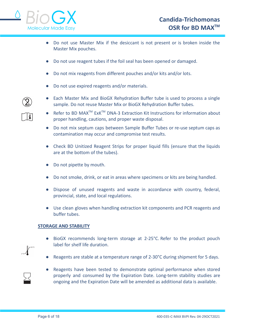

- Do not use Master Mix if the desiccant is not present or is broken inside the Master Mix pouches.
- Do not use reagent tubes if the foil seal has been opened or damaged.
- Do not mix reagents from different pouches and/or kits and/or lots.
- Do not use expired reagents and/or materials.
- Each Master Mix and BioGX Rehydration Buffer tube is used to process a single sample. Do not reuse Master Mix or BioGX Rehydration Buffer tubes.
- Refer to BD MAX<sup>™</sup> ExK<sup>™</sup> DNA-3 Extraction Kit Instructions for information about proper handling, cautions, and proper waste disposal.
- Do not mix septum caps between Sample Buffer Tubes or re-use septum caps as contamination may occur and compromise test results.
- Check BD Unitized Reagent Strips for proper liquid fills (ensure that the liquids are at the bottom of the tubes).
- Do not pipette by mouth.
- Do not smoke, drink, or eat in areas where specimens or kits are being handled.
- Dispose of unused reagents and waste in accordance with country, federal, provincial, state, and local regulations.
- Use clean gloves when handling extraction kit components and PCR reagents and buffer tubes.

## **STORAGE AND STABILITY**

- BioGX recommends long-term storage at 2-25°C. Refer to the product pouch label for shelf life duration.
- Reagents are stable at a temperature range of 2-30°C during shipment for 5 days.
- Reagents have been tested to demonstrate optimal performance when stored properly and consumed by the Expiration Date. Long-term stability studies are ongoing and the Expiration Date will be amended as additional data is available.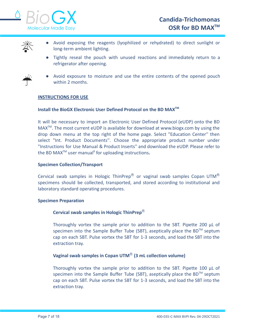



- Avoid exposing the reagents (lyophilized or rehydrated) to direct sunlight or long-term ambient lighting.
- Tightly reseal the pouch with unused reactions and immediately return to a refrigerator after opening.



● Avoid exposure to moisture and use the entire contents of the opened pouch within 2 months.

## **INSTRUCTIONS FOR USE**

## **Install the BioGX Electronic User Defined Protocol on the BD MAXTM**

It will be necessary to import an Electronic User Defined Protocol (eUDP) onto the BD MAX<sup>™</sup>. The most current eUDP is available for download at www.biogx.com by using the drop down menu at the top right of the home page. Select "Education Center'' then select "Int. Product Documents''. Choose the appropriate product number under "Instructions for Use Manual & Product Inserts'' and download the eUDP. Please refer to the BD MAX<sup>™</sup> user manual<sup>9</sup> for uploading instructions.

## **Specimen Collection/Transport**

Cervical swab samples in Hologic ThinPrep<sup>®</sup> or vaginal swab samples Copan UTM<sup>®</sup> specimens should be collected, transported, and stored according to institutional and laboratory standard operating procedures.

## **Specimen Preparation**

## **Cervical swab samples in Hologic ThinPrep**Ⓡ

Thoroughly vortex the sample prior to addition to the SBT. Pipette 200 μL of specimen into the Sample Buffer Tube (SBT), aseptically place the BD<sup>™</sup> septum cap on each SBT. Pulse vortex the SBT for 1-3 seconds, and load the SBT into the extraction tray.

## **Vaginal swab samples in Copan UTM**Ⓡ **(3 mL collection volume)**

Thoroughly vortex the sample prior to addition to the SBT. Pipette 100 μL of specimen into the Sample Buffer Tube (SBT), aseptically place the BD<sup>™</sup> septum cap on each SBT. Pulse vortex the SBT for 1-3 seconds, and load the SBT into the extraction tray.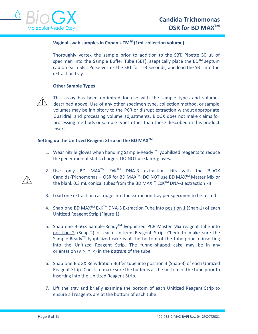

## **Vaginal swab samples in Copan UTM**Ⓡ **(1mL collection volume)**

Thoroughly vortex the sample prior to addition to the SBT. Pipette 50 μL of specimen into the Sample Buffer Tube (SBT), aseptically place the BD<sup>™</sup> septum cap on each SBT. Pulse vortex the SBT for 1-3 seconds, and load the SBT into the extraction tray.

## **Other Sample Types**



This assay has been optimized for use with the sample types and volumes described above. Use of any other specimen type, collection method, or sample volumes may be inhibitory to the PCR or disrupt extraction without appropriate Guardrail and processing volume adjustments. BioGX does not make claims for processing methods or sample types other than those described in this product insert.

## **Setting up the Unitized Reagent Strip on the BD MAXTM**

- 1. Wear nitrile gloves when handling Sample-Ready<sup>™</sup> Iyophilized reagents to reduce the generation of static charges. DO NOT use latex gloves.
- 2. Use only BD MAX<sup>TM</sup> ExK<sup>TM</sup> DNA-3 extraction kits with the BioGX Candida-Trichomonas – OSR for BD MAX<sup>™</sup>. DO NOT use BD MAX<sup>™</sup> Master Mix or the blank 0.3 mL conical tubes from the BD MAX<sup>™</sup> ExK<sup>™</sup> DNA-3 extraction kit.
- 3. Load one extraction cartridge into the extraction tray per specimen to be tested.
- 4. Snap one BD MAX<sup>™</sup> ExK<sup>™</sup> DNA-3 Extraction Tube into <u>position 1</u> (Snap-1) of each Unitized Reagent Strip (Figure 1).
- 5. Snap one BioGX Sample-Ready<sup>™</sup> lyophilized PCR Master Mix reagent tube into position 2 (Snap-2) of each Unitized Reagent Strip. Check to make sure the Sample-Ready<sup>™</sup> lyophilized cake is at the bottom of the tube prior to inserting into the Unitized Reagent Strip. The funnel-shaped cake may be in any orientation (v, >, ^, <) in the *bottom* of the tube.
- 6. Snap one BioGX Rehydration Buffer tube into position 3 (Snap-3) of each Unitized Reagent Strip. Check to make sure the buffer is at the bottom of the tube prior to inserting into the Unitized Reagent Strip.
- 7. Lift the tray and briefly examine the bottom of each Unitized Reagent Strip to ensure all reagents are at the bottom of each tube.

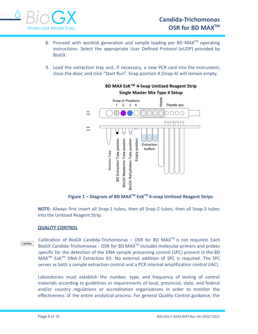

- 8. Proceed with worklist generation and sample loading per BD MAX<sup>TM</sup> operating instructions. Select the appropriate User Defined Protocol (eUDP) provided by BioGX.
- 9. Load the extraction tray and, if necessary, a new PCR card into the instrument, close the door, and click "Start Run". Snap position 4 (Snap-4) will remain empty.



## BD MAX ExK™ 4-Snap Unitized Reagent Strip Single Master Mix Type 4 Setup

**Figure 1 – Diagram of BD MAXTM ExKTM 4-snap Unitized Reagent Strips**

**NOTE:** Always first insert all Snap-1 tubes, then all Snap-2 tubes, then all Snap-3 tubes into the Unitized Reagent Strip.

## **QUALITY CONTROL**

Calibration of BioGX Candida-Trichomonas  $-$  OSR for BD MAX<sup>TM</sup> is not required. Each CONTROL BioGX Candida-Trichomonas - OSR for BD MAX<sup>™</sup> includes molecular primers and probes specific for the detection of the DNA sample processing control (SPC) present in the BD MAX<sup>™</sup> ExK<sup>™</sup> DNA-3 Extraction Kit. No external addition of SPC is required. The SPC serves as both a sample extraction control and a PCR internal amplification control (IAC).

Laboratories must establish the number, type, and frequency of testing of control materials according to guidelines or requirements of local, provincial, state, and federal and/or country regulations or accreditation organizations in order to monitor the effectiveness of the entire analytical process. For general Quality Control guidance, the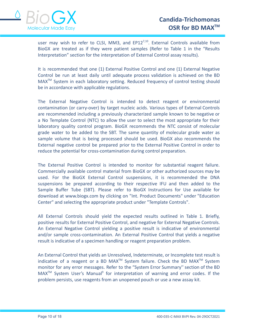

user may wish to refer to CLSI, MM3, and EP12<sup>7,10</sup>. External Controls available from BioGX are treated as if they were patient samples (Refer to Table 1 in the "Results Interpretation" section for the interpretation of External Control assay results).

It is recommended that one (1) External Positive Control and one (1) External Negative Control be run at least daily until adequate process validation is achieved on the BD MAX<sup>™</sup> System in each laboratory setting. Reduced frequency of control testing should be in accordance with applicable regulations.

The External Negative Control is intended to detect reagent or environmental contamination (or carry-over) by target nucleic acids. Various types of External Controls are recommended including a previously characterized sample known to be negative or a No Template Control (NTC) to allow the user to select the most appropriate for their laboratory quality control program. BioGX recommends the NTC consist of molecular grade water to be added to the SBT. The same quantity of molecular grade water as sample volume that is being processed should be used. BioGX also recommends the External negative control be prepared prior to the External Positive Control in order to reduce the potential for cross-contamination during control preparation.

The External Positive Control is intended to monitor for substantial reagent failure. Commercially available control material from BioGX or other authorized sources may be used. For the BioGX External Control suspensions, it is recommended the DNA suspensions be prepared according to their respective IFU and then added to the Sample Buffer Tube (SBT). Please refer to BioGX Instructions for Use available for download at [www.biogx.com](http://www.biogx.com) by clicking on "Int. Product Documents" under "Education Center" and selecting the appropriate product under "Template Controls".

All External Controls should yield the expected results outlined in Table 1. Briefly, positive results for External Positive Control, and negative for External Negative Controls. An External Negative Control yielding a positive result is indicative of environmental and/or sample cross-contamination. An External Positive Control that yields a negative result is indicative of a specimen handling or reagent preparation problem.

An External Control that yields an Unresolved, Indeterminate, or Incomplete test result is indicative of a reagent or a BD MAX<sup>™</sup> System failure. Check the BD MAX<sup>™</sup> System monitor for any error messages. Refer to the "System Error Summary'' section of the BD MAX<sup>™</sup> System User's Manual<sup>9</sup> for interpretation of warning and error codes. If the problem persists, use reagents from an unopened pouch or use a new assay kit.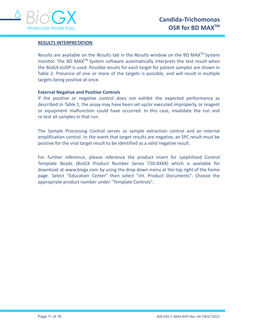

## **RESULTS INTERPRETATION**

Results are available on the *Results* tab in the *Results* window on the BD MAX<sup>™</sup> System monitor. The BD MAX<sup>™</sup> System software automatically interprets the test result when the BioGX eUDP is used. Possible results for each target for patient samples are shown in Table 2. Presence of one or more of the targets is possible, and will result in multiple targets being positive at once.

#### **External Negative and Positive Controls**

If the positive or negative control does not exhibit the expected performance as described in Table 1, the assay may have been set up/or executed improperly, or reagent or equipment malfunction could have occurred. In this case, invalidate the run and re-test all samples in that run.

The Sample Processing Control serves as sample extraction control and an internal amplification control. In the event that target results are negative, an SPC result must be positive for the viral target result to be identified as a valid negative result.

For further reference, please reference the product insert for Lyophilized Control Template Beads (BioGX Product Number Series 720-XXXX) which is available for download at www.biogx.com by using the drop down menu at the top right of the home page. Select "Education Center" then select "Int. Product Documents". Choose the appropriate product number under "Template Controls".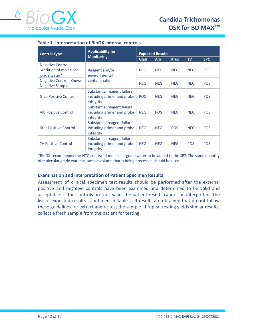

| <b>Control Type</b>                                               | <b>Applicability for</b><br><b>Monitoring</b>                          | <b>Expected Results</b> |            |             |            |            |
|-------------------------------------------------------------------|------------------------------------------------------------------------|-------------------------|------------|-------------|------------|------------|
|                                                                   |                                                                        | Glab                    | <b>Alb</b> | <b>Krus</b> | <b>TV</b>  | <b>SPC</b> |
| <b>Negative Control</b><br>-Addition of molecular<br>grade water* | Reagent and/or<br>environmental                                        | <b>NEG</b>              | <b>NEG</b> | <b>NEG</b>  | <b>NEG</b> | <b>POS</b> |
| <b>Negative Control - Known</b><br><b>Negative Sample</b>         | contamination                                                          | <b>NEG</b>              | <b>NEG</b> | <b>NEG</b>  | <b>NEG</b> | <b>POS</b> |
| <b>Glab Positive Control</b>                                      | Substantial reagent failure<br>including primer and probe<br>integrity | <b>POS</b>              | <b>NEG</b> | <b>NEG</b>  | <b>NEG</b> | <b>POS</b> |
| Alb Positive Control                                              | Substantial reagent failure<br>including primer and probe<br>integrity | <b>NEG</b>              | <b>POS</b> | <b>NEG</b>  | <b>NEG</b> | <b>POS</b> |
| <b>Krus Positive Control</b>                                      | Substantial reagent failure<br>including primer and probe<br>integrity | <b>NEG</b>              | <b>NEG</b> | <b>POS</b>  | <b>NEG</b> | <b>POS</b> |
| <b>TV Positive Control</b>                                        | Substantial reagent failure<br>including primer and probe<br>integrity | <b>NEG</b>              | <b>NEG</b> | <b>NEG</b>  | <b>POS</b> | <b>POS</b> |

## **Table 1. Interpretation of BioGX external controls.**

\*BioGX recommends the NTC consist of molecular grade water to be added to the SBT. The same quantity of molecular grade water as sample volume that is being processed should be used.

## **Examination and Interpretation of Patient Specimen Results**

Assessment of clinical specimen test results should be performed after the external positive and negative controls have been examined and determined to be valid and acceptable. If the controls are not valid, the patient results cannot be interpreted. The list of expected results is outlined in Table 2. If results are obtained that do not follow these guidelines, re-extract and re-test the sample. If repeat testing yields similar results, collect a fresh sample from the patient for testing.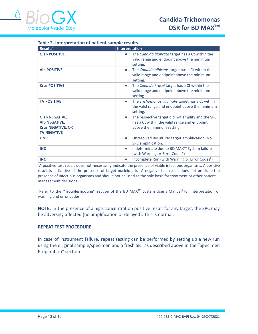

| <b>Results<sup>a</sup></b>                                                               | Interpretation                                                                                                                               |
|------------------------------------------------------------------------------------------|----------------------------------------------------------------------------------------------------------------------------------------------|
| <b>Glab POSITIVE</b>                                                                     | The Candida glabrata target has a Ct within the<br>$\bullet$<br>valid range and endpoint above the minimum<br>setting.                       |
| <b>Alb POSITIVE</b>                                                                      | The Candida albicans target has a Ct within the<br>$\bullet$<br>valid range and endpoint above the minimum<br>setting.                       |
| <b>Krus POSITIVE</b>                                                                     | The Candida krusei target has a Ct within the<br>$\bullet$<br>valid range and endpoint above the minimum<br>setting.                         |
| <b>TV POSITIVE</b>                                                                       | The Trichomonas vaginalis target has a Ct within<br>$\bullet$<br>the valid range and endpoint above the minimum<br>setting.                  |
| <b>Glab NEGATIVE,</b><br>Alb NEGATIVE,<br><b>Krus NEGATIVE, OR</b><br><b>TV NEGATIVE</b> | The respective target did not amplify and the SPC<br>$\bullet$<br>has a Ct within the valid range and endpoint<br>above the minimum setting. |
| <b>UNR</b>                                                                               | Unresolved Result. No target amplification; No<br>$\bullet$<br>SPC amplification.                                                            |
| <b>IND</b>                                                                               | Indeterminate due to BD MAX™ System failure<br>$\bullet$<br>(with Warning or Error Codes <sup>b</sup> )                                      |
| <b>INC</b>                                                                               | Incomplete Run (with Warning or Error Codes <sup>b</sup> )<br>$\bullet$                                                                      |

<sup>a</sup>A positive test result does not necessarily indicate the presence of viable infectious organisms. A positive result is indicative of the presence of target nucleic acid. A negative test result does not preclude the presence of infectious organisms and should not be used as the sole basis for treatment or other patient management decisions.

<sup>b</sup>Refer to the "Troubleshooting" section of the BD MAX<sup>™</sup> System User's Manual<sup>9</sup> for interpretation of warning and error codes.

**NOTE:** In the presence of a high concentration positive result for any target, the SPC may be adversely affected (no amplification or delayed). This is normal.

## **REPEAT TEST PROCEDURE**

In case of instrument failure, repeat testing can be performed by setting up a new run using the original sample/specimen and a fresh SBT as described above in the "Specimen Preparation" section.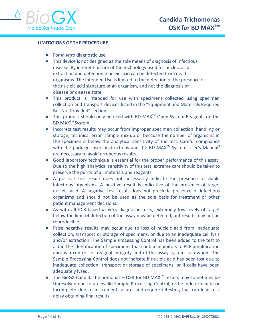

## **LIMITATIONS OF THE PROCEDURE**

- For *in vitro* diagnostic use.
- This device is not designed as the sole means of diagnosis of infectious disease. By inherent nature of the technology used for nucleic acid extraction and detection, nucleic acid can be detected from dead organisms. The Intended Use is limited to the detection of the presence of the nucleic acid signature of an organism, and not the diagnosis of disease or disease state.
- This product is intended for use with specimens collected using specimen collection and transport devices listed in the "Equipment and Materials Required But Not Provided" section.
- This product should only be used with BD MAX<sup>™</sup> Open System Reagents on the BD MAX<sup>™</sup> System.
- Incorrect test results may occur from improper specimen collection, handling or storage, technical error, sample mix-up or because the number of organisms in the specimen is below the analytical sensitivity of the test. Careful compliance with the package insert instructions and the BD MAX<sup>TM</sup> System User's Manual<sup>9</sup> are necessary to avoid erroneous results.
- Good laboratory technique is essential for the proper performance of this assay. Due to the high analytical sensitivity of this test, extreme care should be taken to preserve the purity of all materials and reagents.
- A positive test result does not necessarily indicate the presence of viable infectious organisms. A positive result is indicative of the presence of target nucleic acid. A negative test result does not preclude presence of infectious organisms and should not be used as the sole basis for treatment or other patient management decisions.
- As with all PCR-based *in vitro* diagnostic tests, extremely low levels of target below the limit of detection of the assay may be detected, but results may not be reproducible.
- False negative results may occur due to loss of nucleic acid from inadequate collection, transport or storage of specimens, or due to an inadequate cell lysis and/or extraction. The Sample Processing Control has been added to the test to aid in the identification of specimens that contain inhibitors to PCR amplification and as a control for reagent integrity and of the assay system as a whole. The Sample Processing Control does not indicate if nucleic acid has been lost due to inadequate collection, transport or storage of specimens, or if cells have been adequately lysed.
- $\bullet$  The BioGX Candida-Trichomonas OSR for BD MAX<sup>TM</sup> results may sometimes be Unresolved due to an invalid Sample Processing Control, or be Indeterminate or Incomplete due to instrument failure, and require retesting that can lead to a delay obtaining final results.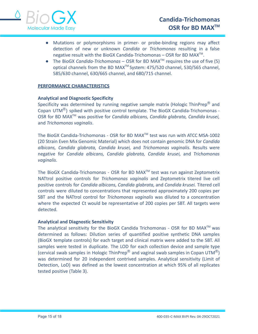

- Mutations or polymorphisms in primer- or probe-binding regions may affect detection of new or unknown *Candida* or *Trichomonas* resulting in a false negative result with the BioGX Candida-Trichomonas – OSR for BD MAX<sup>™</sup>.
- The BioGX *Candida-Trichomonas* OSR for BD MAX<sup>™</sup> requires the use of five (5) optical channels from the BD MAX<sup>™</sup>System: 475/520 channel, 530/565 channel, 585/630 channel, 630/665 channel, and 680/715 channel.

## **PERFORMANCE CHARACTERISTICS**

## **Analytical and Diagnostic Specificity**

Specificity was determined by running negative sample matrix (Hologic ThinPrep $^{\circledR}$  and Copan UTM<sup>®</sup>) spiked with positive control template. The BioGX Candida-Trichomonas -OSR for BD MAXTM was positive for *Candida albicans, Candida glabrata, Candida krusei,* and *Trichomonas vaginalis*.

The BioGX Candida-Trichomonas - OSR for BD MAX<sup>™</sup> test was run with ATCC MSA-1002 (20 Strain Even Mix Genomic Material) which does not contain genomic DNA for *Candida albicans, Candida glabrata, Candida krusei,* and *Trichomonas vaginalis*. Results were negative for *Candida albicans, Candida glabrata, Candida krusei,* and *Trichomonas vaginalis*.

The BioGX Candida-Trichomonas - OSR for BD MAX<sup>™</sup> test was run against Zeptometrix NATtrol positive controls for *Trichomonas vaginalis* and Zeptometrix titered live cell positive controls for *Candida albicans, Candida glabrata,* and *Candida krusei.* Titered cell controls were diluted to concentrations that represented approximately 200 copies per SBT and the NATtrol control for *Trichomonas vaginalis* was diluted to a concentration where the expected Ct would be representative of 200 copies per SBT. All targets were detected.

## **Analytical and Diagnostic Sensitivity**

The analytical sensitivity for the BioGX Candida Trichomonas - OSR for BD MAX<sup>TM</sup> was determined as follows: Dilution series of quantified positive synthetic DNA samples (BioGX template controls) for each target and clinical matrix were added to the SBT. All samples were tested in duplicate. The LOD for each collection device and sample type (cervical swab samples in Hologic ThinPrep<sup>®</sup> and vaginal swab samples in Copan UTM<sup>®</sup>) was determined for 20 independent contrived samples. Analytical sensitivity (Limit of Detection, LoD) was defined as the lowest concentration at which 95% of all replicates tested positive (Table 3).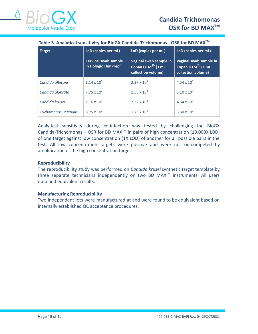

| Table 3. Analytical sensitivity for BioGX Candida-Trichomonas - OSR for BD MAX <sup>™</sup> |                                                                                          |                                                                                                       |                                                                                                       |
|---------------------------------------------------------------------------------------------|------------------------------------------------------------------------------------------|-------------------------------------------------------------------------------------------------------|-------------------------------------------------------------------------------------------------------|
| <b>Target</b>                                                                               | LoD (copies per mL)<br><b>Cervical swab sample</b><br>in Hologic ThinPrep $^{\circledR}$ | LoD (copies per mL)<br>Vaginal swab sample in<br>Copan UTM $^{\circledR}$ (3 mL<br>collection volume) | LoD (copies per mL)<br>Vaginal swab sample in<br>Copan UTM $^{\circledR}$ (1 mL<br>collection volume) |
|                                                                                             |                                                                                          |                                                                                                       |                                                                                                       |
| Candida albicans                                                                            | $1.14 \times 10^{3}$                                                                     | $2.27 \times 10^{3}$                                                                                  | $4.54 \times 10^{3}$                                                                                  |
| Candida glabrata                                                                            | 7.75 x $10^2$                                                                            | $1.55 \times 10^{3}$                                                                                  | $3.10 \times 10^{3}$                                                                                  |
| Candida krusei                                                                              | $1.16 \times 10^{3}$                                                                     | $2.32 \times 10^3$                                                                                    | $4.64 \times 10^{3}$                                                                                  |
| Trichomonas vaginalis                                                                       | $8.75 \times 10^{2}$                                                                     | $1.75 \times 10^{3}$                                                                                  | $3.50 \times 10^{3}$                                                                                  |

Analytical sensitivity during co-infection was tested by challenging the BioGX Candida-Trichomonas  $-$  OSR for BD MAX<sup>TM</sup> in pairs of high concentration (10,000X LOD) of one target against low concentration (1X LOD) of another for all possible pairs in the test. All low concentration targets were positive and were not outcompeted by amplification of the high concentration target.

## **Reproducibility**

The reproducibility study was performed on *Candida krusei* synthetic target template by three separate technicians independently on two BD MAX<sup>™</sup> instruments. All users obtained equivalent results.

## **Manufacturing Reproducibility**

Two independent lots were manufactured at and were found to be equivalent based on internally established QC acceptance procedures.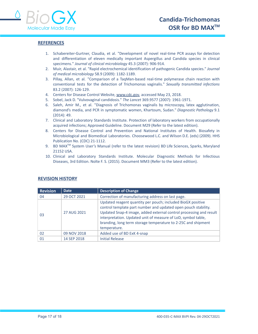

#### **REFERENCES**

- 1. Schabereiter-Gurtner, Claudia, et al. "Development of novel real-time PCR assays for detection and differentiation of eleven medically important Aspergillus and Candida species in clinical specimens." *Journal of clinical microbiology* 45.3 (2007): 906-914.
- 2. Muir, Alastair, et al. "Rapid electrochemical identification of pathogenic Candida species." *Journal of medical microbiology* 58.9 (2009): 1182-1189.
- 3. Pillay, Allan, et al. "Comparison of a TaqMan-based real-time polymerase chain reaction with conventional tests for the detection of Trichomonas vaginalis." *Sexually transmitted infections* 83.2 (2007): 126-129.
- 4. Centers for Disease Control Website, [www.cdc.gov,](http://www.cdc.gov) accessed May 23, 2018.
- 5. Sobel, Jack D. "Vulvovaginal candidosis." *The Lancet* 369.9577 (2007): 1961-1971.
- 6. Saleh, Amir M., et al. "Diagnosis of Trichomonas vaginalis by microscopy, latex agglutination, diamond's media, and PCR in symptomatic women, Khartoum, Sudan." *Diagnostic Pathology* 9.1 (2014): 49.
- 7. Clinical and Laboratory Standards Institute. Protection of laboratory workers from occupationally acquired infections; Approved Guideline. Document M29 (Refer to the latest edition).
- 8. Centers for Disease Control and Prevention and National Institutes of Health. Biosafety in Microbiological and Biomedical Laboratories. Choosewood L.C. and Wilson D.E. (eds) (2009). HHS Publication No. (CDC) 21-1112.
- 9. BD MAX<sup>™</sup> System User's Manual (refer to the latest revision) BD Life Sciences, Sparks, Maryland 21152 USA.
- 10. Clinical and Laboratory Standards Institute. Molecular Diagnostic Methods for Infectious Diseases, 3rd Edition. Nolte F. S. (2015). Document MM3 (Refer to the latest edition).

| <b>Revision</b> | <b>Date</b> | <b>Description of Change</b>                                                                                                                                                                                                                                                                                                                          |
|-----------------|-------------|-------------------------------------------------------------------------------------------------------------------------------------------------------------------------------------------------------------------------------------------------------------------------------------------------------------------------------------------------------|
| 04              | 29 OCT 2021 | Correction of manufacturing address on last page.                                                                                                                                                                                                                                                                                                     |
| 03              | 27 AUG 2021 | Updated reagent quantity per pouch; included BioGX positive<br>control template part number and updated open pouch stability.<br>Updated Snap-4 image, added external control processing and result<br>interpretation. Updated unit of measure of LoD, symbol table,<br>branding, long term storage temperature to 2-25C and shipment<br>temperature. |
| 02              | 09 NOV 2018 | Added use of BD ExK 4-snap                                                                                                                                                                                                                                                                                                                            |
| 01              | 14 SEP 2018 | <b>Initial Release</b>                                                                                                                                                                                                                                                                                                                                |

#### **REVISION HISTORY**